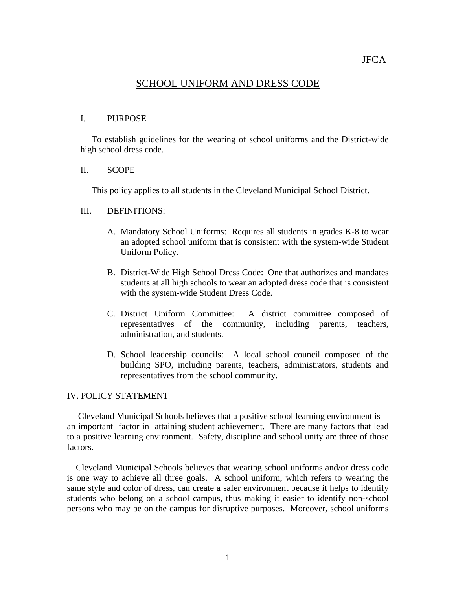# SCHOOL UNIFORM AND DRESS CODE

### I. PURPOSE

 To establish guidelines for the wearing of school uniforms and the District-wide high school dress code.

#### II. SCOPE

This policy applies to all students in the Cleveland Municipal School District.

## III. DEFINITIONS:

- A. Mandatory School Uniforms: Requires all students in grades K-8 to wear an adopted school uniform that is consistent with the system-wide Student Uniform Policy.
- B. District-Wide High School Dress Code: One that authorizes and mandates students at all high schools to wear an adopted dress code that is consistent with the system-wide Student Dress Code.
- C. District Uniform Committee: A district committee composed of representatives of the community, including parents, teachers, administration, and students.
- D. School leadership councils: A local school council composed of the building SPO, including parents, teachers, administrators, students and representatives from the school community.

# IV. POLICY STATEMENT

 Cleveland Municipal Schools believes that a positive school learning environment is an important factor in attaining student achievement. There are many factors that lead to a positive learning environment. Safety, discipline and school unity are three of those factors.

 Cleveland Municipal Schools believes that wearing school uniforms and/or dress code is one way to achieve all three goals. A school uniform, which refers to wearing the same style and color of dress, can create a safer environment because it helps to identify students who belong on a school campus, thus making it easier to identify non-school persons who may be on the campus for disruptive purposes. Moreover, school uniforms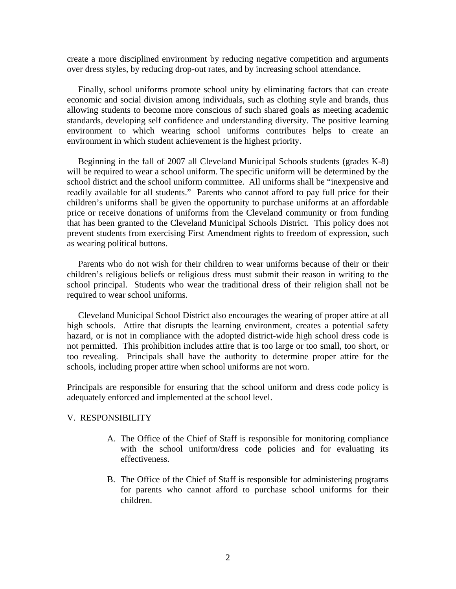create a more disciplined environment by reducing negative competition and arguments over dress styles, by reducing drop-out rates, and by increasing school attendance.

 Finally, school uniforms promote school unity by eliminating factors that can create economic and social division among individuals, such as clothing style and brands, thus allowing students to become more conscious of such shared goals as meeting academic standards, developing self confidence and understanding diversity. The positive learning environment to which wearing school uniforms contributes helps to create an environment in which student achievement is the highest priority.

 Beginning in the fall of 2007 all Cleveland Municipal Schools students (grades K-8) will be required to wear a school uniform. The specific uniform will be determined by the school district and the school uniform committee. All uniforms shall be "inexpensive and readily available for all students." Parents who cannot afford to pay full price for their children's uniforms shall be given the opportunity to purchase uniforms at an affordable price or receive donations of uniforms from the Cleveland community or from funding that has been granted to the Cleveland Municipal Schools District. This policy does not prevent students from exercising First Amendment rights to freedom of expression, such as wearing political buttons.

 Parents who do not wish for their children to wear uniforms because of their or their children's religious beliefs or religious dress must submit their reason in writing to the school principal. Students who wear the traditional dress of their religion shall not be required to wear school uniforms.

 Cleveland Municipal School District also encourages the wearing of proper attire at all high schools. Attire that disrupts the learning environment, creates a potential safety hazard, or is not in compliance with the adopted district-wide high school dress code is not permitted. This prohibition includes attire that is too large or too small, too short, or too revealing. Principals shall have the authority to determine proper attire for the schools, including proper attire when school uniforms are not worn.

Principals are responsible for ensuring that the school uniform and dress code policy is adequately enforced and implemented at the school level.

#### V. RESPONSIBILITY

- A. The Office of the Chief of Staff is responsible for monitoring compliance with the school uniform/dress code policies and for evaluating its effectiveness.
- B. The Office of the Chief of Staff is responsible for administering programs for parents who cannot afford to purchase school uniforms for their children.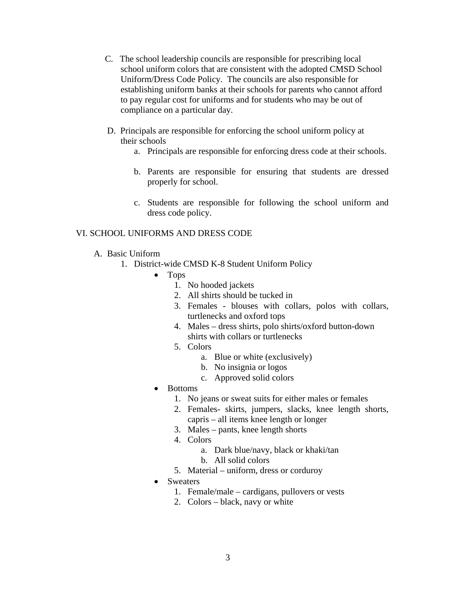- C. The school leadership councils are responsible for prescribing local school uniform colors that are consistent with the adopted CMSD School Uniform/Dress Code Policy. The councils are also responsible for establishing uniform banks at their schools for parents who cannot afford to pay regular cost for uniforms and for students who may be out of compliance on a particular day.
- D. Principals are responsible for enforcing the school uniform policy at their schools
	- a. Principals are responsible for enforcing dress code at their schools.
	- b. Parents are responsible for ensuring that students are dressed properly for school.
	- c. Students are responsible for following the school uniform and dress code policy.

# VI. SCHOOL UNIFORMS AND DRESS CODE

- A. Basic Uniform
	- 1. District-wide CMSD K-8 Student Uniform Policy
		- Tops
			- 1. No hooded jackets
			- 2. All shirts should be tucked in
			- 3. Females blouses with collars, polos with collars, turtlenecks and oxford tops
			- 4. Males dress shirts, polo shirts/oxford button-down shirts with collars or turtlenecks
			- 5. Colors
				- a. Blue or white (exclusively)
				- b. No insignia or logos
				- c. Approved solid colors
		- Bottoms
			- 1. No jeans or sweat suits for either males or females
			- 2. Females- skirts, jumpers, slacks, knee length shorts, capris – all items knee length or longer
			- 3. Males pants, knee length shorts
			- 4. Colors
				- a. Dark blue/navy, black or khaki/tan
				- b. All solid colors
			- 5. Material uniform, dress or corduroy
		- Sweaters
			- 1. Female/male cardigans, pullovers or vests
			- 2. Colors black, navy or white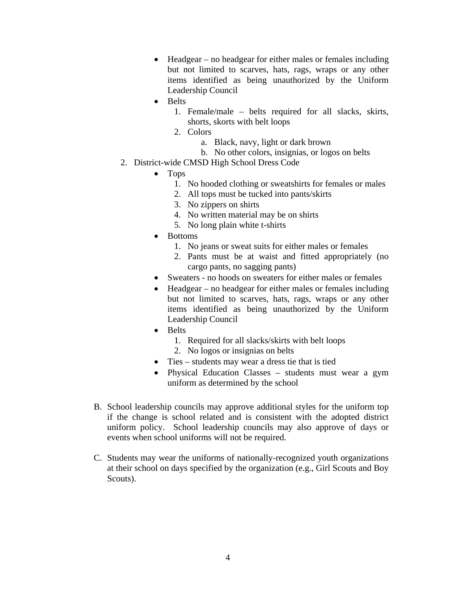- Headgear no headgear for either males or females including but not limited to scarves, hats, rags, wraps or any other items identified as being unauthorized by the Uniform Leadership Council
- Belts
	- 1. Female/male belts required for all slacks, skirts, shorts, skorts with belt loops
	- 2. Colors
		- a. Black, navy, light or dark brown
		- b. No other colors, insignias, or logos on belts
- 2. District-wide CMSD High School Dress Code
	- Tops
		- 1. No hooded clothing or sweatshirts for females or males
		- 2. All tops must be tucked into pants/skirts
		- 3. No zippers on shirts
		- 4. No written material may be on shirts
		- 5. No long plain white t-shirts
	- Bottoms
		- 1. No jeans or sweat suits for either males or females
		- 2. Pants must be at waist and fitted appropriately (no cargo pants, no sagging pants)
	- Sweaters no hoods on sweaters for either males or females
	- Headgear no headgear for either males or females including but not limited to scarves, hats, rags, wraps or any other items identified as being unauthorized by the Uniform Leadership Council
	- Belts
		- 1. Required for all slacks/skirts with belt loops
		- 2. No logos or insignias on belts
	- Ties students may wear a dress tie that is tied
	- Physical Education Classes students must wear a gym uniform as determined by the school
- B. School leadership councils may approve additional styles for the uniform top if the change is school related and is consistent with the adopted district uniform policy. School leadership councils may also approve of days or events when school uniforms will not be required.
- C. Students may wear the uniforms of nationally-recognized youth organizations at their school on days specified by the organization (e.g., Girl Scouts and Boy Scouts).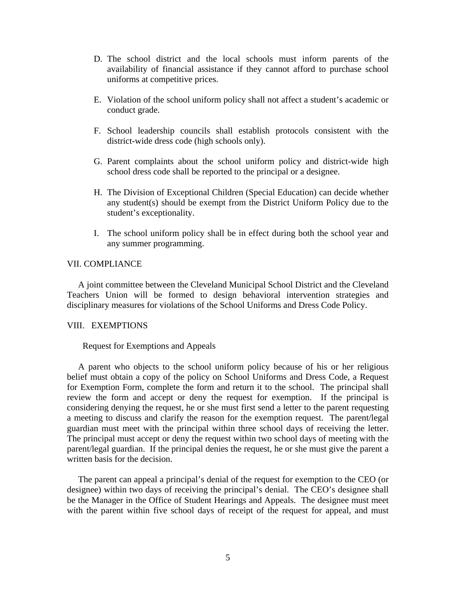- D. The school district and the local schools must inform parents of the availability of financial assistance if they cannot afford to purchase school uniforms at competitive prices.
- E. Violation of the school uniform policy shall not affect a student's academic or conduct grade.
- F. School leadership councils shall establish protocols consistent with the district-wide dress code (high schools only).
- G. Parent complaints about the school uniform policy and district-wide high school dress code shall be reported to the principal or a designee.
- H. The Division of Exceptional Children (Special Education) can decide whether any student(s) should be exempt from the District Uniform Policy due to the student's exceptionality.
- I. The school uniform policy shall be in effect during both the school year and any summer programming.

## VII. COMPLIANCE

A joint committee between the Cleveland Municipal School District and the Cleveland Teachers Union will be formed to design behavioral intervention strategies and disciplinary measures for violations of the School Uniforms and Dress Code Policy.

#### VIII. EXEMPTIONS

#### Request for Exemptions and Appeals

 A parent who objects to the school uniform policy because of his or her religious belief must obtain a copy of the policy on School Uniforms and Dress Code, a Request for Exemption Form, complete the form and return it to the school. The principal shall review the form and accept or deny the request for exemption. If the principal is considering denying the request, he or she must first send a letter to the parent requesting a meeting to discuss and clarify the reason for the exemption request. The parent/legal guardian must meet with the principal within three school days of receiving the letter. The principal must accept or deny the request within two school days of meeting with the parent/legal guardian. If the principal denies the request, he or she must give the parent a written basis for the decision.

 The parent can appeal a principal's denial of the request for exemption to the CEO (or designee) within two days of receiving the principal's denial. The CEO's designee shall be the Manager in the Office of Student Hearings and Appeals. The designee must meet with the parent within five school days of receipt of the request for appeal, and must